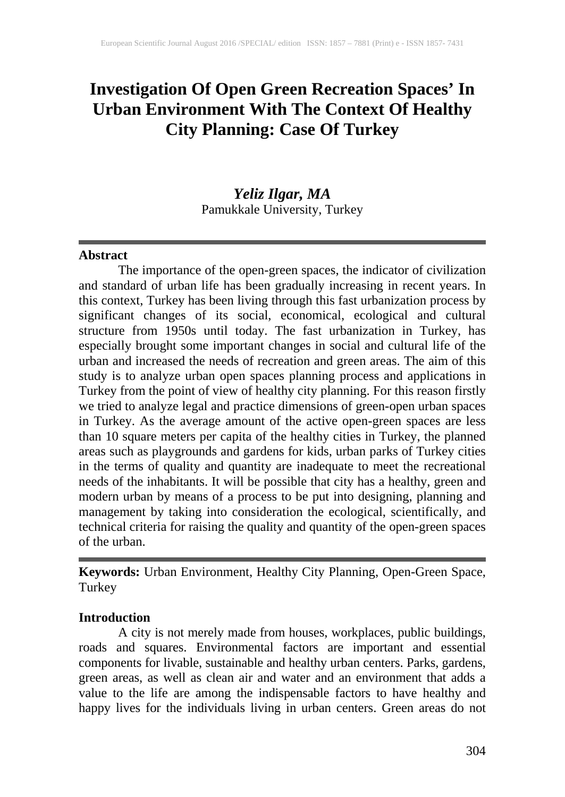# **Investigation Of Open Green Recreation Spaces' In Urban Environment With The Context Of Healthy City Planning: Case Of Turkey**

# *Yeliz Ilgar, MA* Pamukkale University, Turkey

#### **Abstract**

The importance of the open-green spaces, the indicator of civilization and standard of urban life has been gradually increasing in recent years. In this context, Turkey has been living through this fast urbanization process by significant changes of its social, economical, ecological and cultural structure from 1950s until today. The fast urbanization in Turkey, has especially brought some important changes in social and cultural life of the urban and increased the needs of recreation and green areas. The aim of this study is to analyze urban open spaces planning process and applications in Turkey from the point of view of healthy city planning. For this reason firstly we tried to analyze legal and practice dimensions of green-open urban spaces in Turkey. As the average amount of the active open-green spaces are less than 10 square meters per capita of the healthy cities in Turkey, the planned areas such as playgrounds and gardens for kids, urban parks of Turkey cities in the terms of quality and quantity are inadequate to meet the recreational needs of the inhabitants. It will be possible that city has a healthy, green and modern urban by means of a process to be put into designing, planning and management by taking into consideration the ecological, scientifically, and technical criteria for raising the quality and quantity of the open-green spaces of the urban.

**Keywords:** Urban Environment, Healthy City Planning, Open-Green Space, Turkey

# **Introduction**

A city is not merely made from houses, workplaces, public buildings, roads and squares. Environmental factors are important and essential components for livable, sustainable and healthy urban centers. Parks, gardens, green areas, as well as clean air and water and an environment that adds a value to the life are among the indispensable factors to have healthy and happy lives for the individuals living in urban centers. Green areas do not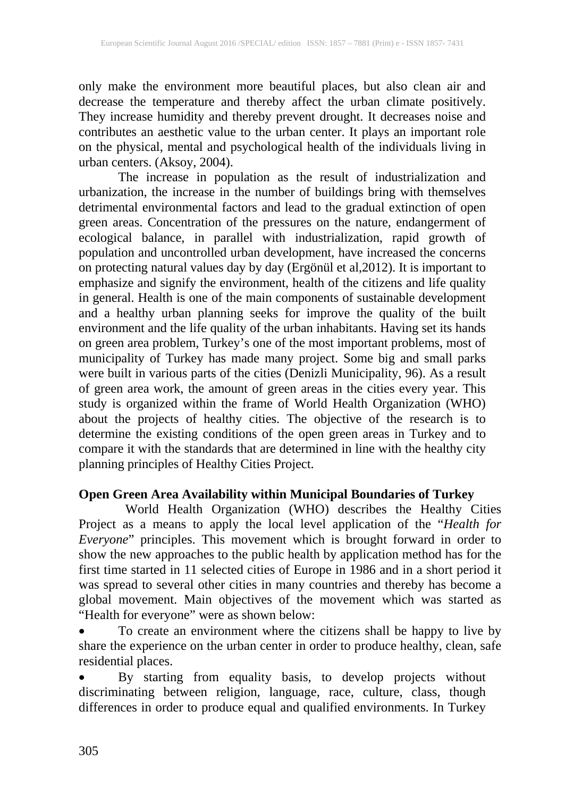only make the environment more beautiful places, but also clean air and decrease the temperature and thereby affect the urban climate positively. They increase humidity and thereby prevent drought. It decreases noise and contributes an aesthetic value to the urban center. It plays an important role on the physical, mental and psychological health of the individuals living in urban centers. (Aksoy, 2004).

The increase in population as the result of industrialization and urbanization, the increase in the number of buildings bring with themselves detrimental environmental factors and lead to the gradual extinction of open green areas. Concentration of the pressures on the nature, endangerment of ecological balance, in parallel with industrialization, rapid growth of population and uncontrolled urban development, have increased the concerns on protecting natural values day by day (Ergönül et al,2012). It is important to emphasize and signify the environment, health of the citizens and life quality in general. Health is one of the main components of sustainable development and a healthy urban planning seeks for improve the quality of the built environment and the life quality of the urban inhabitants. Having set its hands on green area problem, Turkey's one of the most important problems, most of municipality of Turkey has made many project. Some big and small parks were built in various parts of the cities (Denizli Municipality, 96). As a result of green area work, the amount of green areas in the cities every year. This study is organized within the frame of World Health Organization (WHO) about the projects of healthy cities. The objective of the research is to determine the existing conditions of the open green areas in Turkey and to compare it with the standards that are determined in line with the healthy city planning principles of Healthy Cities Project.

# **Open Green Area Availability within Municipal Boundaries of Turkey**

World Health Organization (WHO) describes the Healthy Cities Project as a means to apply the local level application of the "*Health for Everyone*" principles. This movement which is brought forward in order to show the new approaches to the public health by application method has for the first time started in 11 selected cities of Europe in 1986 and in a short period it was spread to several other cities in many countries and thereby has become a global movement. Main objectives of the movement which was started as "Health for everyone" were as shown below:

• To create an environment where the citizens shall be happy to live by share the experience on the urban center in order to produce healthy, clean, safe residential places.

• By starting from equality basis, to develop projects without discriminating between religion, language, race, culture, class, though differences in order to produce equal and qualified environments. In Turkey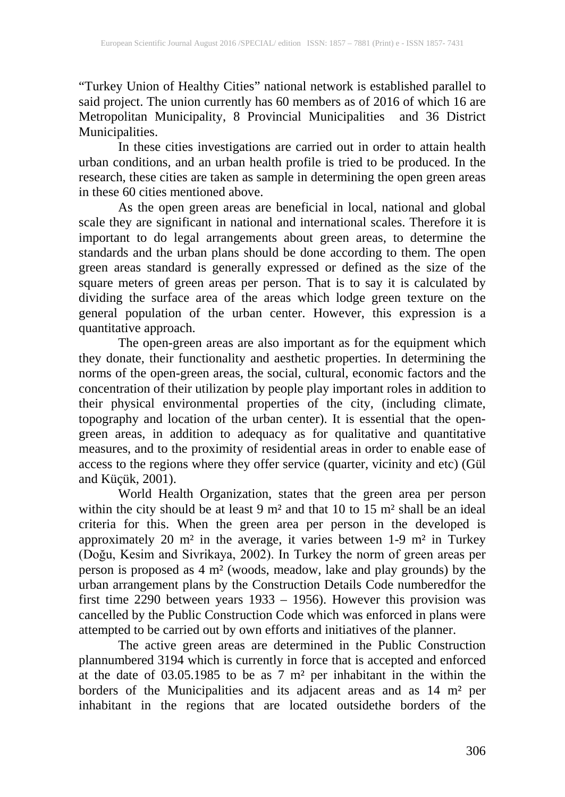"Turkey Union of Healthy Cities" national network is established parallel to said project. The union currently has 60 members as of 2016 of which 16 are Metropolitan Municipality, 8 Provincial Municipalities and 36 District Municipalities.

In these cities investigations are carried out in order to attain health urban conditions, and an urban health profile is tried to be produced. In the research, these cities are taken as sample in determining the open green areas in these 60 cities mentioned above.

As the open green areas are beneficial in local, national and global scale they are significant in national and international scales. Therefore it is important to do legal arrangements about green areas, to determine the standards and the urban plans should be done according to them. The open green areas standard is generally expressed or defined as the size of the square meters of green areas per person. That is to say it is calculated by dividing the surface area of the areas which lodge green texture on the general population of the urban center. However, this expression is a quantitative approach.

The open-green areas are also important as for the equipment which they donate, their functionality and aesthetic properties. In determining the norms of the open-green areas, the social, cultural, economic factors and the concentration of their utilization by people play important roles in addition to their physical environmental properties of the city, (including climate, topography and location of the urban center). It is essential that the opengreen areas, in addition to adequacy as for qualitative and quantitative measures, and to the proximity of residential areas in order to enable ease of access to the regions where they offer service (quarter, vicinity and etc) (Gül and Küçük, 2001).

World Health Organization, states that the green area per person within the city should be at least 9 m<sup>2</sup> and that 10 to 15 m<sup>2</sup> shall be an ideal criteria for this. When the green area per person in the developed is approximately 20 m² in the average, it varies between 1-9 m² in Turkey (Doğu, Kesim and Sivrikaya, 2002). In Turkey the norm of green areas per person is proposed as 4 m² (woods, meadow, lake and play grounds) by the urban arrangement plans by the Construction Details Code numberedfor the first time 2290 between years 1933 – 1956). However this provision was cancelled by the Public Construction Code which was enforced in plans were attempted to be carried out by own efforts and initiatives of the planner.

The active green areas are determined in the Public Construction plannumbered 3194 which is currently in force that is accepted and enforced at the date of 03.05.1985 to be as 7 m² per inhabitant in the within the borders of the Municipalities and its adjacent areas and as 14 m² per inhabitant in the regions that are located outsidethe borders of the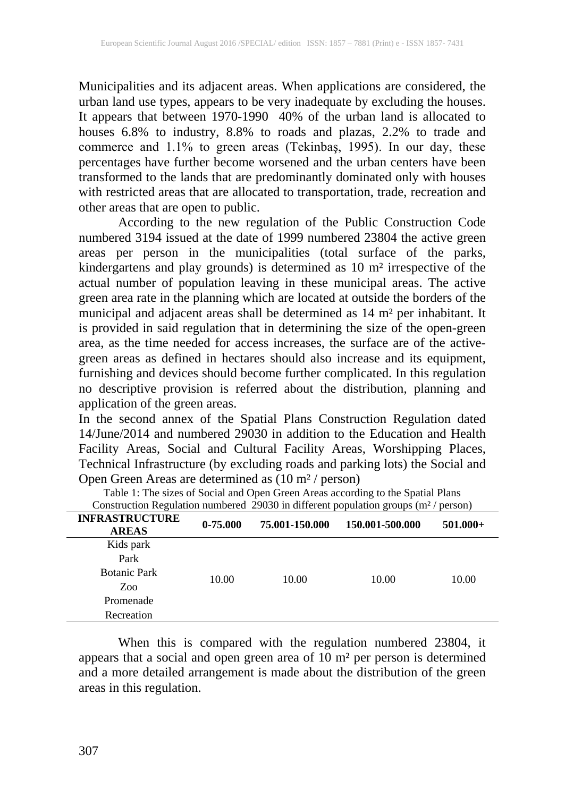Municipalities and its adjacent areas. When applications are considered, the urban land use types, appears to be very inadequate by excluding the houses. It appears that between 1970-1990 40% of the urban land is allocated to houses 6.8% to industry, 8.8% to roads and plazas, 2.2% to trade and commerce and 1.1% to green areas (Tekinbaş, 1995). In our day, these percentages have further become worsened and the urban centers have been transformed to the lands that are predominantly dominated only with houses with restricted areas that are allocated to transportation, trade, recreation and other areas that are open to public.

According to the new regulation of the Public Construction Code numbered 3194 issued at the date of 1999 numbered 23804 the active green areas per person in the municipalities (total surface of the parks, kindergartens and play grounds) is determined as 10 m² irrespective of the actual number of population leaving in these municipal areas. The active green area rate in the planning which are located at outside the borders of the municipal and adjacent areas shall be determined as 14 m² per inhabitant. It is provided in said regulation that in determining the size of the open-green area, as the time needed for access increases, the surface are of the activegreen areas as defined in hectares should also increase and its equipment, furnishing and devices should become further complicated. In this regulation no descriptive provision is referred about the distribution, planning and application of the green areas.

In the second annex of the Spatial Plans Construction Regulation dated 14/June/2014 and numbered 29030 in addition to the Education and Health Facility Areas, Social and Cultural Facility Areas, Worshipping Places, Technical Infrastructure (by excluding roads and parking lots) the Social and Open Green Areas are determined as  $(10 \text{ m}^2/\text{person})$ 

| - – –<br>$\mathcal{L}$                |            |                |                 |            |  |
|---------------------------------------|------------|----------------|-----------------|------------|--|
| <b>INFRASTRUCTURE</b><br><b>AREAS</b> | $0-75.000$ | 75.001-150.000 | 150.001-500.000 | $501.000+$ |  |
| Kids park                             |            |                |                 |            |  |
| Park                                  |            |                |                 |            |  |
| <b>Botanic Park</b>                   | 10.00      | 10.00          | 10.00           | 10.00      |  |
| Zoo                                   |            |                |                 |            |  |
| Promenade                             |            |                |                 |            |  |
| Recreation                            |            |                |                 |            |  |
|                                       |            |                |                 |            |  |

Table 1: The sizes of Social and Open Green Areas according to the Spatial Plans Construction Regulation numbered 29030 in different population groups ( $m^2$  / person)

When this is compared with the regulation numbered 23804, it appears that a social and open green area of 10 m² per person is determined and a more detailed arrangement is made about the distribution of the green areas in this regulation.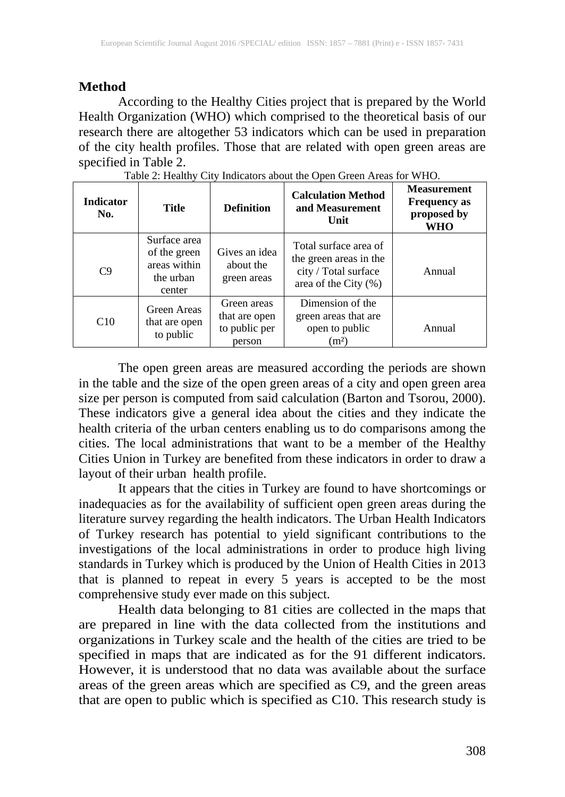# **Method**

According to the Healthy Cities project that is prepared by the World Health Organization (WHO) which comprised to the theoretical basis of our research there are altogether 53 indicators which can be used in preparation of the city health profiles. Those that are related with open green areas are specified in Table 2.

| <b>Indicator</b><br>No. | <b>Title</b>                                                        | <b>Definition</b>                                       | <b>Calculation Method</b><br>and Measurement<br>Unit                                                | <b>Measurement</b><br><b>Frequency as</b><br>proposed by<br>WHO |
|-------------------------|---------------------------------------------------------------------|---------------------------------------------------------|-----------------------------------------------------------------------------------------------------|-----------------------------------------------------------------|
| C9                      | Surface area<br>of the green<br>areas within<br>the urban<br>center | Gives an idea<br>about the<br>green areas               | Total surface area of<br>the green areas in the<br>city / Total surface<br>area of the City $(\% )$ | Annual                                                          |
| C10                     | Green Areas<br>that are open<br>to public                           | Green areas<br>that are open<br>to public per<br>person | Dimension of the<br>green areas that are<br>open to public<br>(m <sup>2</sup> )                     | Annual                                                          |

|  |  |  | Table 2: Healthy City Indicators about the Open Green Areas for WHO. |
|--|--|--|----------------------------------------------------------------------|
|  |  |  |                                                                      |

The open green areas are measured according the periods are shown in the table and the size of the open green areas of a city and open green area size per person is computed from said calculation (Barton and Tsorou, 2000). These indicators give a general idea about the cities and they indicate the health criteria of the urban centers enabling us to do comparisons among the cities. The local administrations that want to be a member of the Healthy Cities Union in Turkey are benefited from these indicators in order to draw a layout of their urban health profile.

It appears that the cities in Turkey are found to have shortcomings or inadequacies as for the availability of sufficient open green areas during the literature survey regarding the health indicators. The Urban Health Indicators of Turkey research has potential to yield significant contributions to the investigations of the local administrations in order to produce high living standards in Turkey which is produced by the Union of Health Cities in 2013 that is planned to repeat in every 5 years is accepted to be the most comprehensive study ever made on this subject.

Health data belonging to 81 cities are collected in the maps that are prepared in line with the data collected from the institutions and organizations in Turkey scale and the health of the cities are tried to be specified in maps that are indicated as for the 91 different indicators. However, it is understood that no data was available about the surface areas of the green areas which are specified as C9, and the green areas that are open to public which is specified as C10. This research study is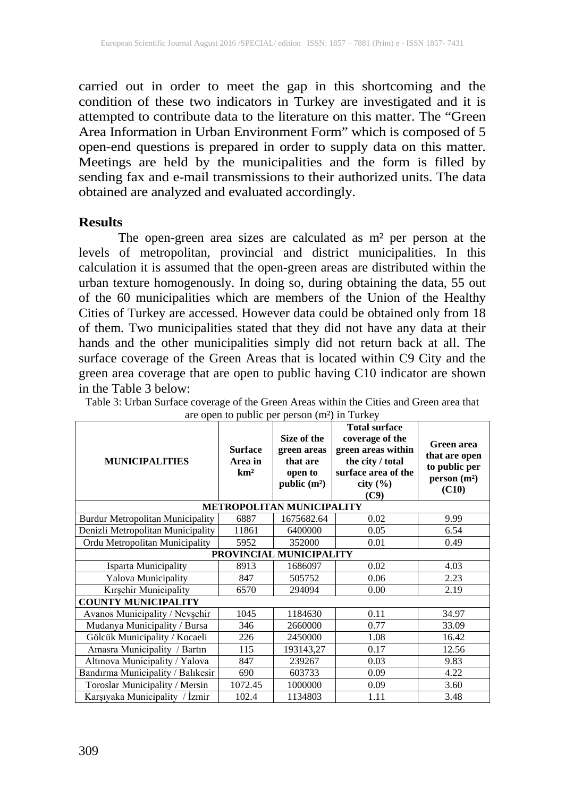carried out in order to meet the gap in this shortcoming and the condition of these two indicators in Turkey are investigated and it is attempted to contribute data to the literature on this matter. The "Green Area Information in Urban Environment Form" which is composed of 5 open-end questions is prepared in order to supply data on this matter. Meetings are held by the municipalities and the form is filled by sending fax and e-mail transmissions to their authorized units. The data obtained are analyzed and evaluated accordingly.

#### **Results**

The open-green area sizes are calculated as m² per person at the levels of metropolitan, provincial and district municipalities. In this calculation it is assumed that the open-green areas are distributed within the urban texture homogenously. In doing so, during obtaining the data, 55 out of the 60 municipalities which are members of the Union of the Healthy Cities of Turkey are accessed. However data could be obtained only from 18 of them. Two municipalities stated that they did not have any data at their hands and the other municipalities simply did not return back at all. The surface coverage of the Green Areas that is located within C9 City and the green area coverage that are open to public having C10 indicator are shown in the Table 3 below:

| <b>MUNICIPALITIES</b>                   | <b>Surface</b><br>Area in<br>km <sup>2</sup> | Size of the<br>green areas<br>that are<br>open to<br>public $(m^2)$ | <b>Total surface</b><br>coverage of the<br>green areas within<br>the city / total<br>surface area of the<br>city $(\% )$<br>(C9) | Green area<br>that are open<br>to public per<br>person(m <sup>2</sup> )<br>(C10) |  |  |  |
|-----------------------------------------|----------------------------------------------|---------------------------------------------------------------------|----------------------------------------------------------------------------------------------------------------------------------|----------------------------------------------------------------------------------|--|--|--|
| METROPOLITAN MUNICIPALITY               |                                              |                                                                     |                                                                                                                                  |                                                                                  |  |  |  |
| <b>Burdur Metropolitan Municipality</b> | 6887                                         | 1675682.64                                                          | 0.02                                                                                                                             | 9.99                                                                             |  |  |  |
| Denizli Metropolitan Municipality       | 11861                                        | 6400000                                                             | 0.05                                                                                                                             | 6.54                                                                             |  |  |  |
| Ordu Metropolitan Municipality          | 5952                                         | 352000                                                              | 0.01                                                                                                                             | 0.49                                                                             |  |  |  |
| PROVINCIAL MUNICIPALITY                 |                                              |                                                                     |                                                                                                                                  |                                                                                  |  |  |  |
| Isparta Municipality                    | 8913                                         | 1686097                                                             | 0.02                                                                                                                             | 4.03                                                                             |  |  |  |
| Yalova Municipality                     | 847                                          | 505752                                                              | 0.06                                                                                                                             | 2.23                                                                             |  |  |  |
| Kırşehir Municipality                   | 6570                                         | 294094                                                              | 0.00                                                                                                                             | 2.19                                                                             |  |  |  |
| <b>COUNTY MUNICIPALITY</b>              |                                              |                                                                     |                                                                                                                                  |                                                                                  |  |  |  |
| Avanos Municipality / Nevşehir          | 1045                                         | 1184630                                                             | 0.11                                                                                                                             | 34.97                                                                            |  |  |  |
| Mudanya Municipality / Bursa            | 346                                          | 2660000                                                             | 0.77                                                                                                                             | 33.09                                                                            |  |  |  |
| Gölcük Municipality / Kocaeli           | 226                                          | 2450000                                                             | 1.08                                                                                                                             | 16.42                                                                            |  |  |  |
| Amasra Municipality / Bartin            | 115                                          | 193143,27                                                           | 0.17                                                                                                                             | 12.56                                                                            |  |  |  |
| Altınova Municipality / Yalova          | 847                                          | 239267                                                              | 0.03                                                                                                                             | 9.83                                                                             |  |  |  |
| Bandırma Municipality / Balıkesir       | 690                                          | 603733                                                              | 0.09                                                                                                                             | 4.22                                                                             |  |  |  |
| Toroslar Municipality / Mersin          | 1072.45                                      | 1000000                                                             | 0.09                                                                                                                             | 3.60                                                                             |  |  |  |
| Karsiyaka Municipality / Izmir          | 102.4                                        | 1134803                                                             | 1.11                                                                                                                             | 3.48                                                                             |  |  |  |

Table 3: Urban Surface coverage of the Green Areas within the Cities and Green area that are open to public per person (m²) in Turkey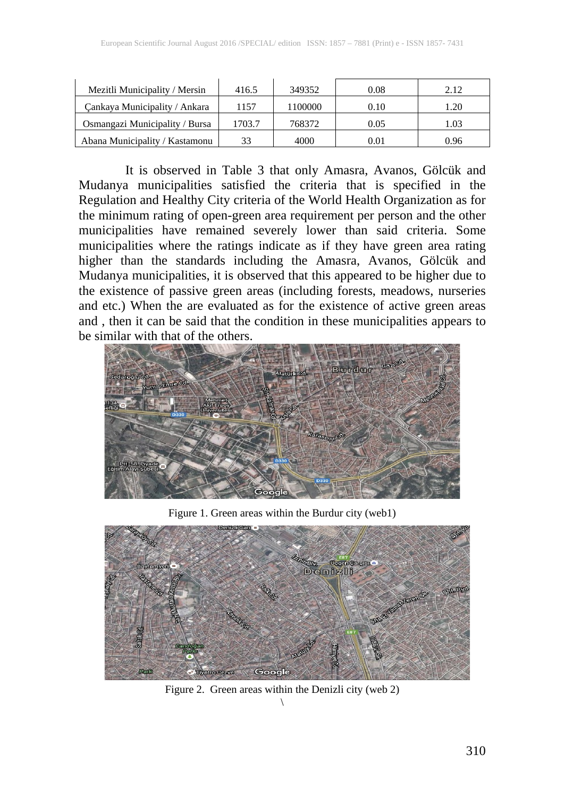| Mezitli Municipality / Mersin  | 416.5  | 349352  | 0.08 | 2.12 |
|--------------------------------|--------|---------|------|------|
| Cankaya Municipality / Ankara  | 1157   | 1100000 | 0.10 | 1.20 |
| Osmangazi Municipality / Bursa | 1703.7 | 768372  | 0.05 | .03  |
| Abana Municipality / Kastamonu | 33     | 4000    | 0.01 | 0.96 |

It is observed in Table 3 that only Amasra, Avanos, Gölcük and Mudanya municipalities satisfied the criteria that is specified in the Regulation and Healthy City criteria of the World Health Organization as for the minimum rating of open-green area requirement per person and the other municipalities have remained severely lower than said criteria. Some municipalities where the ratings indicate as if they have green area rating higher than the standards including the Amasra, Avanos, Gölcük and Mudanya municipalities, it is observed that this appeared to be higher due to the existence of passive green areas (including forests, meadows, nurseries and etc.) When the are evaluated as for the existence of active green areas and , then it can be said that the condition in these municipalities appears to be similar with that of the others.



Figure 1. Green areas within the Burdur city (web1)



Figure 2. Green areas within the Denizli city (web 2)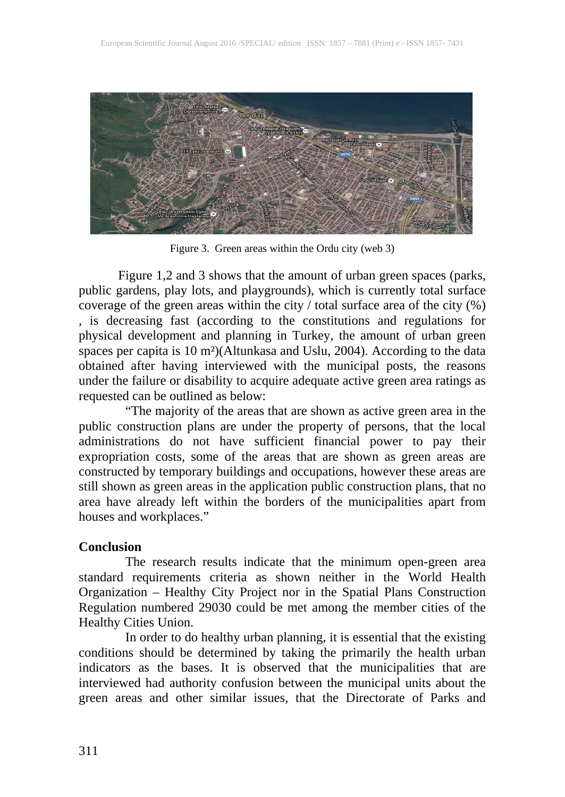

Figure 3. Green areas within the Ordu city (web 3)

Figure 1,2 and 3 shows that the amount of urban green spaces (parks, public gardens, play lots, and playgrounds), which is currently total surface coverage of the green areas within the city / total surface area of the city (%) , is decreasing fast (according to the constitutions and regulations for physical development and planning in Turkey, the amount of urban green spaces per capita is 10 m²)(Altunkasa and Uslu, 2004). According to the data obtained after having interviewed with the municipal posts, the reasons under the failure or disability to acquire adequate active green area ratings as requested can be outlined as below:

"The majority of the areas that are shown as active green area in the public construction plans are under the property of persons, that the local administrations do not have sufficient financial power to pay their expropriation costs, some of the areas that are shown as green areas are constructed by temporary buildings and occupations, however these areas are still shown as green areas in the application public construction plans, that no area have already left within the borders of the municipalities apart from houses and workplaces."

### **Conclusion**

The research results indicate that the minimum open-green area standard requirements criteria as shown neither in the World Health Organization – Healthy City Project nor in the Spatial Plans Construction Regulation numbered 29030 could be met among the member cities of the Healthy Cities Union.

In order to do healthy urban planning, it is essential that the existing conditions should be determined by taking the primarily the health urban indicators as the bases. It is observed that the municipalities that are interviewed had authority confusion between the municipal units about the green areas and other similar issues, that the Directorate of Parks and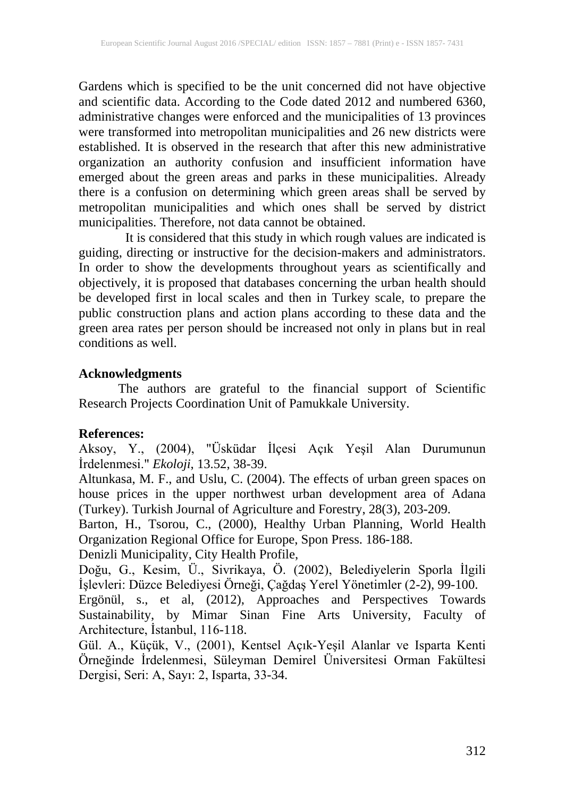Gardens which is specified to be the unit concerned did not have objective and scientific data. According to the Code dated 2012 and numbered 6360, administrative changes were enforced and the municipalities of 13 provinces were transformed into metropolitan municipalities and 26 new districts were established. It is observed in the research that after this new administrative organization an authority confusion and insufficient information have emerged about the green areas and parks in these municipalities. Already there is a confusion on determining which green areas shall be served by metropolitan municipalities and which ones shall be served by district municipalities. Therefore, not data cannot be obtained.

It is considered that this study in which rough values are indicated is guiding, directing or instructive for the decision-makers and administrators. In order to show the developments throughout years as scientifically and objectively, it is proposed that databases concerning the urban health should be developed first in local scales and then in Turkey scale, to prepare the public construction plans and action plans according to these data and the green area rates per person should be increased not only in plans but in real conditions as well.

## **Acknowledgments**

The authors are grateful to the financial support of Scientific Research Projects Coordination Unit of Pamukkale University.

# **References:**

Aksoy, Y., (2004), "Üsküdar İlçesi Açık Yeşil Alan Durumunun İrdelenmesi." *Ekoloji*, 13.52, 38-39.

Altunkasa, M. F., and Uslu, C. (2004). The effects of urban green spaces on house prices in the upper northwest urban development area of Adana (Turkey). Turkish Journal of Agriculture and Forestry, 28(3), 203-209.

Barton, H., Tsorou, C., (2000), Healthy Urban Planning, World Health Organization Regional Office for Europe, Spon Press. 186-188.

Denizli Municipality, City Health Profile,

Doğu, G., Kesim, Ü., Sivrikaya, Ö. (2002), Belediyelerin Sporla İlgili İşlevleri: Düzce Belediyesi Örneği, Çağdaş Yerel Yönetimler (2-2), 99-100.

Ergönül, s., et al, (2012), Approaches and Perspectives Towards Sustainability, by Mimar Sinan Fine Arts University, Faculty of Architecture, İstanbul, 116-118.

Gül. A., Küçük, V., (2001), Kentsel Açık-Yeşil Alanlar ve Isparta Kenti Örneğinde İrdelenmesi, Süleyman Demirel Üniversitesi Orman Fakültesi Dergisi, Seri: A, Sayı: 2, Isparta, 33-34.